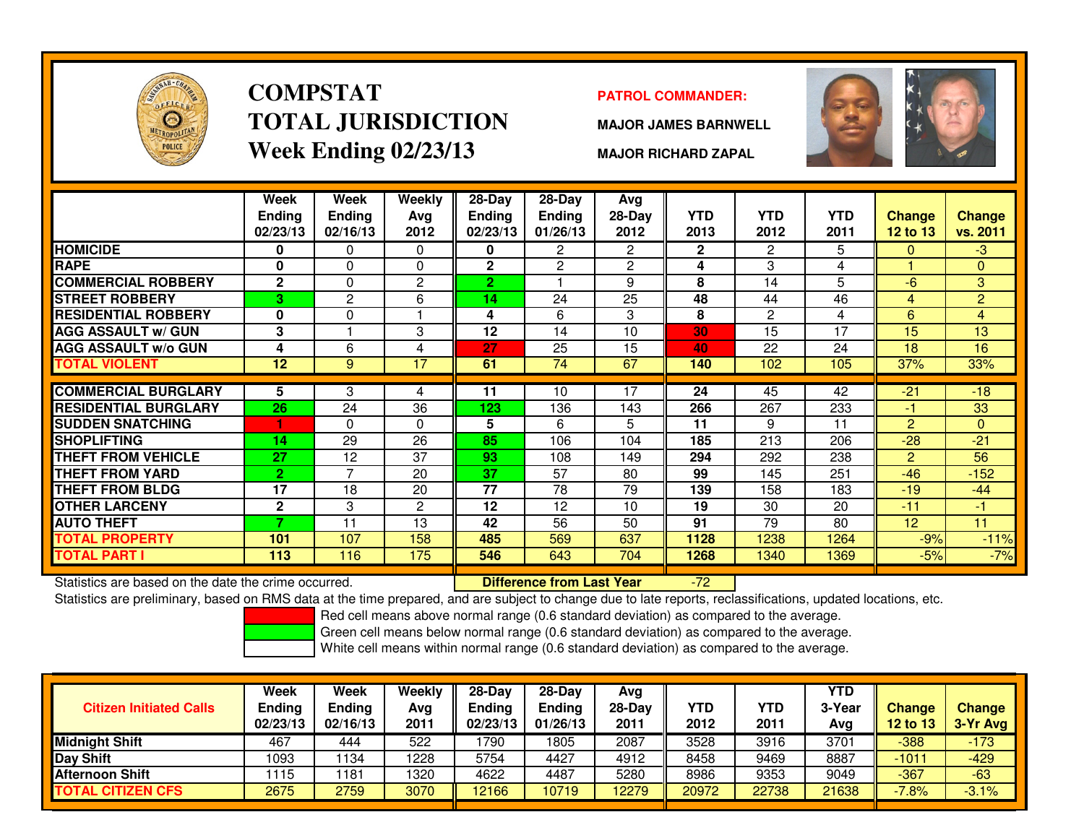

# **COMPSTATTOTAL JURISDICTIONWeek Ending 02/23/13**

### **PATROL COMMANDER:**

**MAJOR JAMES BARNWELL**



**MAJOR RICHARD ZAPAL**

|                             | Week<br><b>Ending</b><br>02/23/13 | Week<br><b>Ending</b><br>02/16/13 | Weekly<br>Avg<br>2012 | $28$ -Day<br><b>Ending</b><br>02/23/13 | $28$ -Day<br><b>Ending</b><br>01/26/13 | Avg<br>28-Day<br>2012 | <b>YTD</b><br>2013 | <b>YTD</b><br>2012 | <b>YTD</b><br>2011 | <b>Change</b><br><b>12 to 13</b> | <b>Change</b><br>vs. 2011 |
|-----------------------------|-----------------------------------|-----------------------------------|-----------------------|----------------------------------------|----------------------------------------|-----------------------|--------------------|--------------------|--------------------|----------------------------------|---------------------------|
| <b>HOMICIDE</b>             | 0                                 | 0                                 | $\Omega$              | 0                                      | $\overline{2}$                         | $\mathbf{2}^{\circ}$  | $\mathbf{2}$       | 2                  | 5                  | $\Omega$                         | $-3$                      |
| <b>RAPE</b>                 | 0                                 | 0                                 | 0                     | $\mathbf{2}$                           | $\overline{2}$                         | 2                     | 4                  | 3                  | 4                  |                                  | $\mathbf{0}$              |
| <b>COMMERCIAL ROBBERY</b>   | $\mathbf{2}$                      | 0                                 | $\overline{c}$        | $\overline{2}$                         |                                        | 9                     | 8                  | 14                 | 5                  | -6                               | 3                         |
| <b>STREET ROBBERY</b>       | з                                 | 2                                 | 6                     | 14                                     | 24                                     | 25                    | 48                 | 44                 | 46                 | 4                                | $\overline{2}$            |
| <b>RESIDENTIAL ROBBERY</b>  | $\bf{0}$                          | 0                                 |                       | 4                                      | 6                                      | 3                     | 8                  | $\overline{2}$     | 4                  | 6                                | 4                         |
| <b>AGG ASSAULT w/ GUN</b>   | 3                                 |                                   | 3                     | 12                                     | 14                                     | 10                    | 30                 | 15                 | 17                 | 15                               | 13                        |
| <b>AGG ASSAULT w/o GUN</b>  | 4                                 | 6                                 | 4                     | 27                                     | 25                                     | 15                    | 40                 | 22                 | 24                 | 18                               | 16                        |
| TOTAL VIOLENT               | 12                                | 9                                 | 17                    | 61                                     | 74                                     | 67                    | 140                | 102                | 105                | 37%                              | 33%                       |
|                             |                                   |                                   |                       |                                        |                                        |                       |                    |                    |                    |                                  |                           |
| <b>COMMERCIAL BURGLARY</b>  | 5                                 | 3                                 | 4                     | 11                                     | 10                                     | $\overline{17}$       | 24                 | 45                 | 42                 | $-21$                            | $-18$                     |
| <b>RESIDENTIAL BURGLARY</b> | 26                                | 24                                | 36                    | 123                                    | 136                                    | 143                   | 266                | 267                | 233                | $-1$                             | 33                        |
| <b>SUDDEN SNATCHING</b>     |                                   | 0                                 | $\Omega$              | 5                                      | 6                                      | 5                     | 11                 | 9                  | 11                 | 2                                | $\Omega$                  |
| <b>SHOPLIFTING</b>          | 14                                | 29                                | 26                    | 85                                     | 106                                    | 104                   | 185                | 213                | 206                | $-28$                            | $-21$                     |
| <b>THEFT FROM VEHICLE</b>   | 27                                | 12                                | 37                    | 93                                     | 108                                    | 149                   | 294                | 292                | 238                | 2                                | 56                        |
| THEFT FROM YARD             | $\overline{2}$                    | 7                                 | 20                    | 37                                     | 57                                     | 80                    | 99                 | 145                | 251                | $-46$                            | $-152$                    |
| <b>THEFT FROM BLDG</b>      | 17                                | 18                                | 20                    | 77                                     | 78                                     | 79                    | 139                | 158                | 183                | $-19$                            | $-44$                     |
| <b>OTHER LARCENY</b>        | $\mathbf{2}$                      | 3                                 | $\mathbf{2}$          | 12                                     | 12                                     | 10                    | 19                 | 30                 | 20                 | $-11$                            | -1                        |
| <b>AUTO THEFT</b>           | 7                                 | 11                                | 13                    | 42                                     | 56                                     | 50                    | 91                 | 79                 | 80                 | 12                               | 11                        |
| <b>TOTAL PROPERTY</b>       | 101                               | 107                               | 158                   | 485                                    | 569                                    | 637                   | 1128               | 1238               | 1264               | $-9%$                            | $-11%$                    |
| <b>TOTAL PART I</b>         | 113                               | 116                               | 175                   | 546                                    | 643                                    | 704                   | 1268               | 1340               | 1369               | $-5%$                            | $-7%$                     |

Statistics are based on the date the crime occurred. **Difference from Last Year** 

Statistics are based on the date the crime occurred. **[89] Luite Luite Lite of Last Year Netwi**n-72 Luite to ata<br>Statistics are preliminary, based on RMS data at the time prepared, and are subject to change due to late rep

Red cell means above normal range (0.6 standard deviation) as compared to the average.

Green cell means below normal range (0.6 standard deviation) as compared to the average.

| <b>Citizen Initiated Calls</b> | Week<br><b>Ending</b><br>02/23/13 | Week<br><b>Ending</b><br>02/16/13 | Weekly<br>Avg<br>2011 | $28-Dav$<br><b>Endina</b><br>02/23/13 | $28-Dav$<br><b>Ending</b><br>01/26/13 | Avg<br>28-Dav<br>2011 | YTD<br>2012 | YTD<br>2011 | <b>YTD</b><br>3-Year<br>Avg | <b>Change</b><br>12 to 13 | <b>Change</b><br>3-Yr Avg |
|--------------------------------|-----------------------------------|-----------------------------------|-----------------------|---------------------------------------|---------------------------------------|-----------------------|-------------|-------------|-----------------------------|---------------------------|---------------------------|
| <b>Midnight Shift</b>          | 467                               | 444                               | 522                   | 1790                                  | 1805                                  | 2087                  | 3528        | 3916        | 3701                        | $-388$                    | $-173$                    |
| Day Shift                      | 1093                              | 134                               | 1228                  | 5754                                  | 4427                                  | 4912                  | 8458        | 9469        | 8887                        | $-1011$                   | $-429$                    |
| <b>Afternoon Shift</b>         | 115                               | 181                               | 1320                  | 4622                                  | 4487                                  | 5280                  | 8986        | 9353        | 9049                        | $-367$                    | $-63$                     |
| <b>TOTAL CITIZEN CFS</b>       | 2675                              | 2759                              | 3070                  | 12166                                 | 10719                                 | 12279                 | 20972       | 22738       | 21638                       | $-7.8%$                   | $-3.1%$                   |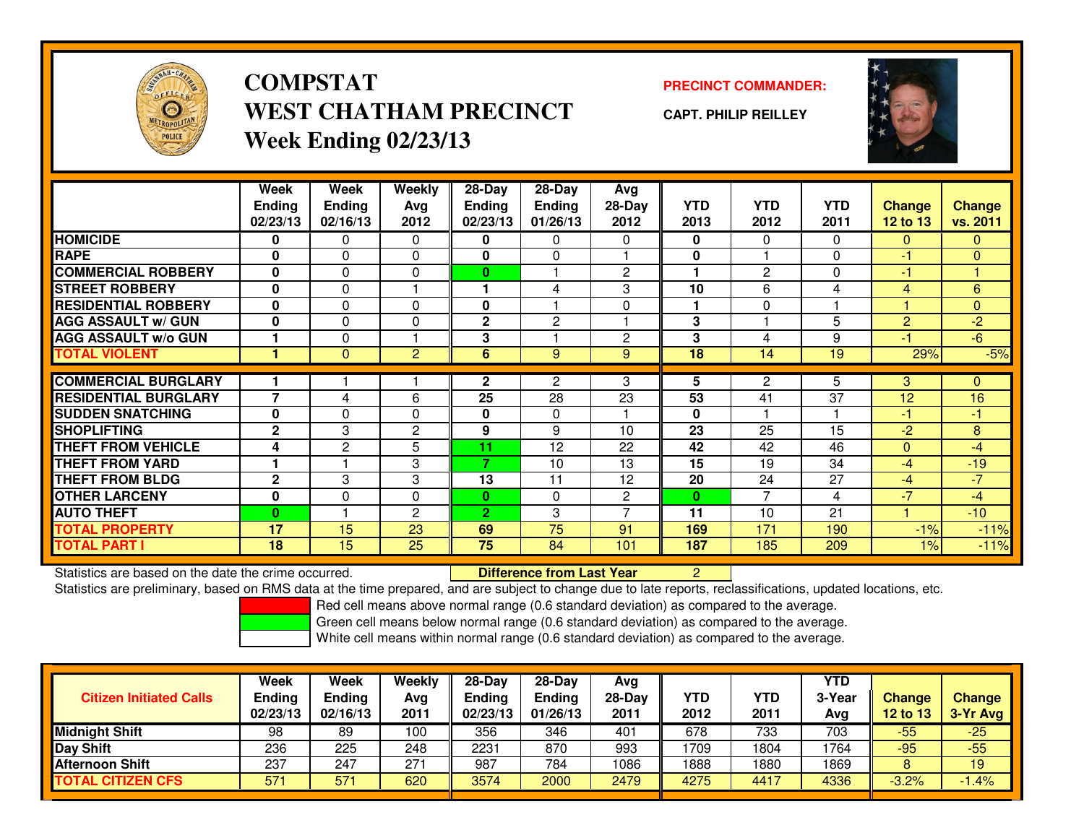

**COMPSTATWEST CHATHAM PRECINCTWeek Ending 02/23/13**

**PRECINCT COMMANDER:**

**CAPT. PHILIP REILLEY**



|                             | Week                     | Week           | <b>Weekly</b>  | $28-Day$       | $28 - Day$    | Avg            |              |                |              |                |                |
|-----------------------------|--------------------------|----------------|----------------|----------------|---------------|----------------|--------------|----------------|--------------|----------------|----------------|
|                             | <b>Ending</b>            | <b>Ending</b>  | Avg            | <b>Ending</b>  | <b>Ending</b> | 28-Day         | <b>YTD</b>   | <b>YTD</b>     | <b>YTD</b>   | <b>Change</b>  | <b>Change</b>  |
|                             | 02/23/13                 | 02/16/13       | 2012           | 02/23/13       | 01/26/13      | 2012           | 2013         | 2012           | 2011         | 12 to 13       | vs. 2011       |
| <b>HOMICIDE</b>             | 0                        | 0              | $\Omega$       | 0              | $\mathbf{0}$  | $\Omega$       | 0            | $\Omega$       | $\Omega$     | $\mathbf{0}$   | $\mathbf{0}$   |
| <b>RAPE</b>                 | $\mathbf{0}$             | $\Omega$       | $\Omega$       | 0              | $\mathbf{0}$  |                | 0            |                | $\mathbf{0}$ | $-1$           | $\overline{0}$ |
| <b>COMMERCIAL ROBBERY</b>   | 0                        | 0              | $\Omega$       | $\bf{0}$       |               | $\overline{c}$ | 1            | $\overline{2}$ | $\mathbf{0}$ | $-1$           |                |
| <b>STREET ROBBERY</b>       | $\bf{0}$                 | 0              |                |                | 4             | 3              | 10           | 6              | 4            | 4              | 6              |
| <b>RESIDENTIAL ROBBERY</b>  | 0                        | 0              | $\Omega$       | 0              |               | $\Omega$       | 1            | $\Omega$       |              |                | $\mathbf{0}$   |
| <b>AGG ASSAULT w/ GUN</b>   | $\mathbf{0}$             | $\Omega$       | $\Omega$       | 2              | $\mathbf{2}$  |                | 3            |                | 5            | $\overline{2}$ | $-2$           |
| <b>AGG ASSAULT w/o GUN</b>  |                          | $\Omega$       |                | 3              |               | $\overline{c}$ | 3            | 4              | 9            | $-1$           | $-6$           |
| <b>TOTAL VIOLENT</b>        |                          | $\mathbf{0}$   | $\overline{2}$ | 6              | 9             | 9              | 18           | 14             | 19           | 29%            | $-5%$          |
| <b>COMMERCIAL BURGLARY</b>  |                          |                |                | $\mathbf{2}$   | 2             | 3              | 5            | $\overline{2}$ | 5            | 3              | $\mathbf{0}$   |
|                             | $\overline{\phantom{a}}$ |                |                |                |               |                |              |                |              |                |                |
| <b>RESIDENTIAL BURGLARY</b> |                          | 4              | 6              | 25             | 28            | 23             | 53           | 41             | 37           | 12             | 16             |
| <b>SUDDEN SNATCHING</b>     | $\mathbf{0}$             | $\Omega$       | $\Omega$       | 0              | $\Omega$      |                | $\bf{0}$     |                |              | $-1$           | $-1$           |
| <b>SHOPLIFTING</b>          | $\mathbf{2}$             | 3              | $\mathbf{2}$   | 9              | 9             | 10             | 23           | 25             | 15           | $-2$           | 8              |
| <b>THEFT FROM VEHICLE</b>   | 4                        | $\overline{2}$ | 5              | 11             | 12            | 22             | 42           | 42             | 46           | $\Omega$       | $-4$           |
| <b>THEFT FROM YARD</b>      |                          |                | 3              | 7              | 10            | 13             | 15           | 19             | 34           | $-4$           | $-19$          |
| <b>THEFT FROM BLDG</b>      | $\mathbf{2}$             | 3              | 3              | 13             | 11            | 12             | 20           | 24             | 27           | $-4$           | $-7$           |
| <b>OTHER LARCENY</b>        | $\bf{0}$                 | $\Omega$       | $\Omega$       | $\bf{0}$       | $\Omega$      | $\overline{c}$ | $\mathbf{0}$ | 7              | 4            | $-7$           | $-4$           |
| <b>AUTO THEFT</b>           | $\bf{0}$                 |                | $\overline{c}$ | $\overline{2}$ | 3             | $\overline{ }$ | 11           | 10             | 21           |                | $-10$          |
| <b>TOTAL PROPERTY</b>       | 17                       | 15             | 23             | 69             | 75            | 91             | 169          | 171            | 190          | $-1%$          | $-11%$         |
| <b>TOTAL PART I</b>         | 18                       | 15             | 25             | 75             | 84            | 101            | 187          | 185            | 209          | $1\%$          | $-11%$         |

Statistics are based on the date the crime occurred. **Difference from Last Year** 

Statistics are based on the date the crime occurred. **Difference from Last Year Net ally are to a**t and ate to late reports, reclassifications, updated locations, etc.<br>Statistics are preliminary, based on RMS data at the t

Red cell means above normal range (0.6 standard deviation) as compared to the average.

Green cell means below normal range (0.6 standard deviation) as compared to the average.

| <b>Citizen Initiated Calls</b> | Week<br>Ending<br>02/23/13 | <b>Week</b><br><b>Ending</b><br>02/16/13 | Weekly<br>Avg<br>2011 | $28-Day$<br><b>Ending</b><br>02/23/13 | $28-Day$<br><b>Ending</b><br>01/26/13 | Avg<br>$28-Dav$<br>2011 | YTD<br>2012 | YTD<br>2011 | <b>YTD</b><br>3-Year<br>Avg | <b>Change</b><br>12 to 13 | <b>Change</b><br>3-Yr Avg |
|--------------------------------|----------------------------|------------------------------------------|-----------------------|---------------------------------------|---------------------------------------|-------------------------|-------------|-------------|-----------------------------|---------------------------|---------------------------|
| <b>Midnight Shift</b>          | 98                         | 89                                       | 100                   | 356                                   | 346                                   | 401                     | 678         | 733         | 703                         | $-55$                     | $-25$                     |
| Day Shift                      | 236                        | 225                                      | 248                   | 2231                                  | 870                                   | 993                     | 1709        | 1804        | 1764                        | $-95$                     | $-55$                     |
| <b>Afternoon Shift</b>         | 237                        | 247                                      | 271                   | 987                                   | 784                                   | 1086                    | 1888        | 1880        | 1869                        |                           | 19                        |
| <b>TOTAL CITIZEN CFS</b>       | 571                        | 57 <sup>°</sup>                          | 620                   | 3574                                  | 2000                                  | 2479                    | 4275        | 4417        | 4336                        | $-3.2%$                   | $-1.4%$                   |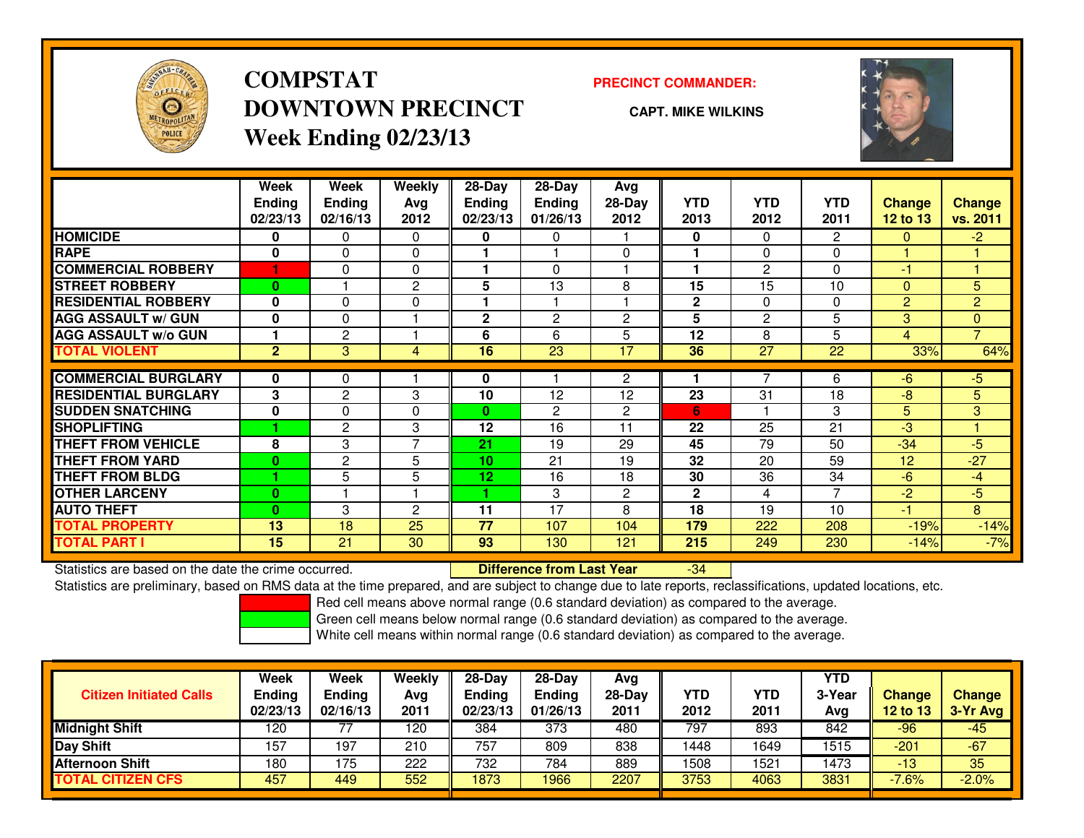

## **COMPSTATDOWNTOWN PRECINCTWeek Ending 02/23/13**

### **PRECINCT COMMANDER:**

**CAPT. MIKE WILKINS**

-34



|                             | Week           | Week           | <b>Weekly</b>  | $28-Day$        | $28-Day$      | Avg            |              |                |                |                |                |
|-----------------------------|----------------|----------------|----------------|-----------------|---------------|----------------|--------------|----------------|----------------|----------------|----------------|
|                             | <b>Ending</b>  | <b>Ending</b>  | Avg            | <b>Ending</b>   | <b>Ending</b> | $28-Day$       | <b>YTD</b>   | <b>YTD</b>     | <b>YTD</b>     | <b>Change</b>  | <b>Change</b>  |
|                             | 02/23/13       | 02/16/13       | 2012           | 02/23/13        | 01/26/13      | 2012           | 2013         | 2012           | 2011           | 12 to 13       | vs. 2011       |
| <b>HOMICIDE</b>             | 0              | 0              | $\Omega$       | 0               | 0             |                | 0            | 0              | 2              | $\mathbf{0}$   | $-2$           |
| <b>RAPE</b>                 | 0              | 0              | $\mathbf 0$    |                 |               | $\Omega$       |              | 0              | 0              |                |                |
| <b>COMMERCIAL ROBBERY</b>   |                | 0              | $\mathbf 0$    |                 | $\Omega$      |                |              | $\overline{2}$ | 0              | -1             |                |
| <b>STREET ROBBERY</b>       | $\bf{0}$       |                | 2              | 5               | 13            | 8              | 15           | 15             | 10             | $\Omega$       | 5              |
| <b>RESIDENTIAL ROBBERY</b>  | 0              | 0              | $\Omega$       |                 |               |                | $\mathbf{2}$ | 0              | 0              | 2              | $\overline{2}$ |
| <b>AGG ASSAULT w/ GUN</b>   | $\bf{0}$       | 0              |                | $\mathbf{2}$    | 2             | $\overline{2}$ | 5            | $\overline{2}$ | 5              | 3              | $\overline{0}$ |
| <b>AGG ASSAULT w/o GUN</b>  |                | 2              |                | 6               | 6             | 5              | 12           | 8              | 5              | $\overline{4}$ | $\overline{7}$ |
| <b>TOTAL VIOLENT</b>        | $\overline{2}$ | 3              | 4              | 16              | 23            | 17             | 36           | 27             | 22             | 33%            | 64%            |
| <b>COMMERCIAL BURGLARY</b>  | 0              |                |                | 0               |               | $\overline{2}$ |              | 7              | 6              | -6             | $-5$           |
|                             |                | 0              |                |                 |               |                |              |                |                |                |                |
| <b>RESIDENTIAL BURGLARY</b> | 3              | 2              | 3              | 10              | 12            | 12             | 23           | 31             | 18             | -8             | 5 <sup>1</sup> |
| <b>SUDDEN SNATCHING</b>     | $\bf{0}$       | 0              | $\Omega$       | $\mathbf{0}$    | 2             | $\overline{c}$ | 6            |                | 3              | 5              | 3              |
| <b>SHOPLIFTING</b>          |                | $\mathbf{2}$   | 3              | 12              | 16            | 11             | 22           | 25             | 21             | -3             |                |
| <b>THEFT FROM VEHICLE</b>   | 8              | 3              | 7              | 21              | 19            | 29             | 45           | 79             | 50             | $-34$          | $-5$           |
| <b>THEFT FROM YARD</b>      | $\bf{0}$       | $\overline{2}$ | 5              | 10              | 21            | 19             | 32           | 20             | 59             | 12             | $-27$          |
| <b>THEFT FROM BLDG</b>      |                | 5              | 5              | 12 <sub>2</sub> | 16            | 18             | 30           | 36             | 34             | -6             | $-4$           |
| <b>OTHER LARCENY</b>        | $\bf{0}$       |                |                |                 | 3             | $\overline{2}$ | $\mathbf{2}$ | 4              | $\overline{ }$ | $-2$           | $-5$           |
| <b>AUTO THEFT</b>           | $\bf{0}$       | 3              | $\overline{2}$ | 11              | 17            | 8              | 18           | 19             | 10             | $-1$           | 8              |
| <b>TOTAL PROPERTY</b>       | 13             | 18             | 25             | 77              | 107           | 104            | 179          | 222            | 208            | $-19%$         | $-14%$         |
| <b>TOTAL PART I</b>         | 15             | 21             | 30             | 93              | 130           | 121            | 215          | 249            | 230            | $-14%$         | $-7%$          |

Statistics are based on the date the crime occurred. **Difference from Last Year** 

Statistics are preliminary, based on RMS data at the time prepared, and are subject to change due to late reports, reclassifications, updated locations, etc.

Red cell means above normal range (0.6 standard deviation) as compared to the average.

Green cell means below normal range (0.6 standard deviation) as compared to the average.

| <b>Week</b>   | Week          | Weekly   | $28-Dav$      | $28-Dav$      | Avg      |            |      | <b>YTD</b> |               |                 |
|---------------|---------------|----------|---------------|---------------|----------|------------|------|------------|---------------|-----------------|
| <b>Ending</b> | <b>Ending</b> | Avg      | <b>Ending</b> | <b>Ending</b> | $28-Dav$ | <b>YTD</b> | YTD  | 3-Year     | <b>Change</b> | <b>Change</b>   |
|               |               |          |               |               |          |            |      |            |               | 3-Yr Avg        |
| 120           |               | 120      | 384           | 373           | 480      | 797        | 893  | 842        | -96           | $-45$           |
| 157           | 197           | 210      | 757           | 809           | 838      | 1448       | 1649 | 1515       | $-201$        | $-67$           |
| 180           | 175           | 222      | 732           | 784           | 889      | 1508       | 1521 | 1473       | $-13$         | 35              |
| 457           | 449           | 552      | 1873          | 1966          | 2207     | 3753       | 4063 | 3831       | $-7.6%$       | $-2.0%$         |
|               | 02/23/13      | 02/16/13 | 2011          | 02/23/13      | 01/26/13 | 2011       | 2012 | 2011       | Avg           | <b>12 to 13</b> |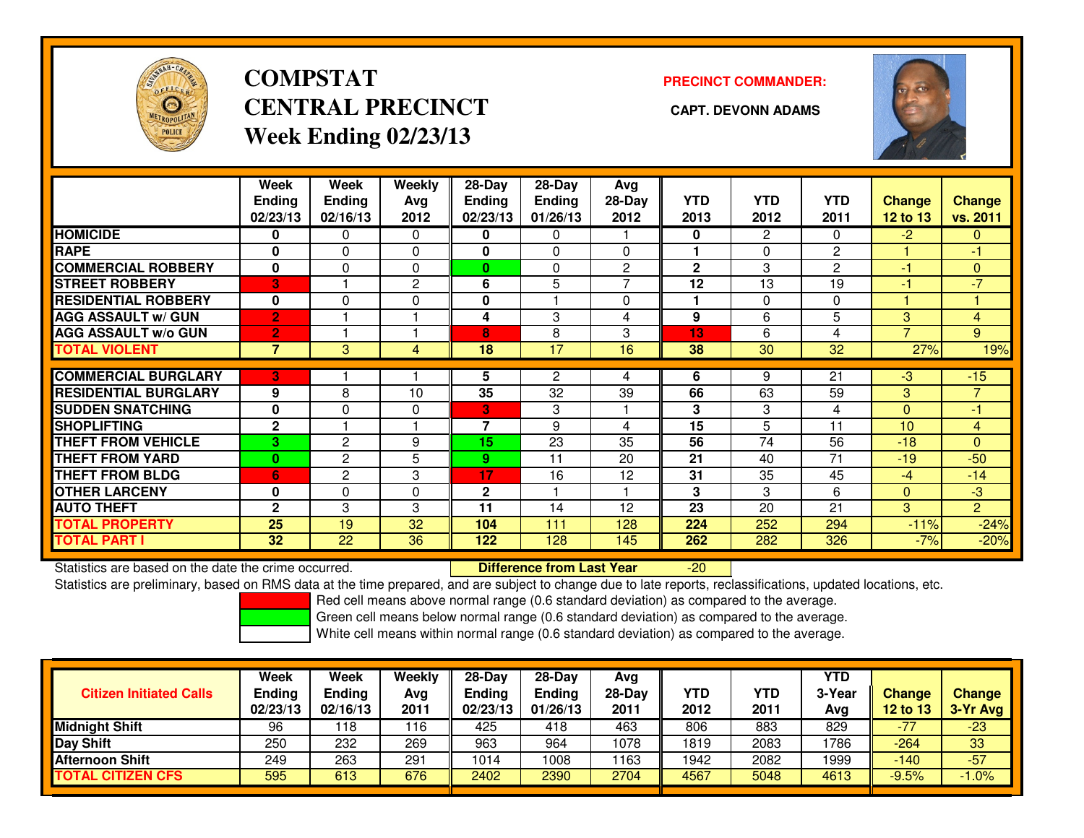

# **COMPSTATCENTRAL PRECINCT CAPT. DEVONN ADAMSWeek Ending 02/23/13**

**PRECINCT COMMANDER:**



|                             | Week<br><b>Ending</b><br>02/23/13 | <b>Week</b><br><b>Ending</b><br>02/16/13 | <b>Weekly</b><br>Ava<br>2012 | $28$ -Day<br>Ending<br>02/23/13 | $28 - Day$<br><b>Ending</b><br>01/26/13 | Avg<br>$28-Day$<br>2012 | <b>YTD</b><br>2013 | <b>YTD</b><br>2012 | <b>YTD</b><br>2011 | Change<br>12 to 13 | <b>Change</b><br>vs. 2011 |
|-----------------------------|-----------------------------------|------------------------------------------|------------------------------|---------------------------------|-----------------------------------------|-------------------------|--------------------|--------------------|--------------------|--------------------|---------------------------|
| <b>HOMICIDE</b>             | 0                                 | $\Omega$                                 | $\Omega$                     | 0                               | 0                                       |                         | $\mathbf{0}$       | $\overline{2}$     | 0                  | $-2$               | $\overline{0}$            |
| <b>RAPE</b>                 | 0                                 | $\Omega$                                 | $\Omega$                     | 0                               | 0                                       | 0                       |                    | $\Omega$           | $\overline{c}$     |                    | -1                        |
| <b>COMMERCIAL ROBBERY</b>   | 0                                 | $\Omega$                                 | $\Omega$                     | $\bf{0}$                        | 0                                       | $\overline{2}$          | $\mathbf{2}$       | 3                  | $\overline{2}$     | -1                 | $\Omega$                  |
| <b>STREET ROBBERY</b>       | 3                                 |                                          | $\overline{c}$               | 6                               | 5                                       | 7                       | 12                 | 13                 | 19                 | -1                 | $-7$                      |
| <b>RESIDENTIAL ROBBERY</b>  | $\mathbf{0}$                      | $\Omega$                                 | $\Omega$                     | 0                               |                                         | $\Omega$                |                    | $\Omega$           | $\Omega$           |                    |                           |
| <b>AGG ASSAULT w/ GUN</b>   | $\overline{2}$                    |                                          |                              | 4                               | 3                                       | 4                       | 9                  | 6                  | 5                  | 3                  | $\overline{4}$            |
| <b>AGG ASSAULT w/o GUN</b>  | $\overline{2}$                    |                                          |                              | 8                               | 8                                       | 3                       | 13                 | 6                  | 4                  | $\overline{ }$     | 9                         |
| <b>TOTAL VIOLENT</b>        | $\overline{7}$                    | 3                                        | 4                            | 18                              | 17                                      | 16                      | 38                 | 30                 | 32                 | 27%                | 19%                       |
|                             |                                   |                                          |                              |                                 |                                         |                         |                    |                    |                    |                    |                           |
| <b>COMMERCIAL BURGLARY</b>  | В'                                |                                          |                              | 5                               | 2                                       | 4                       | 6                  | 9                  | 21                 | $-3$               | $-15$                     |
| <b>RESIDENTIAL BURGLARY</b> | 9                                 | 8                                        | 10                           | 35                              | 32                                      | 39                      | 66                 | 63                 | 59                 | 3                  | $\overline{7}$            |
| <b>SUDDEN SNATCHING</b>     | $\mathbf 0$                       | $\Omega$                                 | $\Omega$                     | 3                               | 3                                       |                         | 3                  | 3                  | 4                  | $\Omega$           | $-1$                      |
| <b>SHOPLIFTING</b>          | $\mathbf{2}$                      |                                          |                              | 7                               | 9                                       | 4                       | 15                 | 5                  | 11                 | 10                 | $\overline{4}$            |
| <b>THEFT FROM VEHICLE</b>   | 3                                 | 2                                        | 9                            | 15                              | 23                                      | 35                      | 56                 | 74                 | 56                 | $-18$              | $\Omega$                  |
| <b>THEFT FROM YARD</b>      | $\bf{0}$                          | 2                                        | 5                            | 9                               | 11                                      | 20                      | 21                 | 40                 | 71                 | $-19$              | $-50$                     |
| <b>THEFT FROM BLDG</b>      | 6                                 | 2                                        | 3                            | 17                              | 16                                      | 12                      | 31                 | 35                 | 45                 | $-4$               | $-14$                     |
| <b>OTHER LARCENY</b>        | $\mathbf 0$                       | $\Omega$                                 | 0                            | $\mathbf 2$                     |                                         |                         | 3                  | 3                  | 6                  | $\mathbf{0}$       | $-3$                      |
| <b>AUTO THEFT</b>           | $\mathbf{2}$                      | 3                                        | 3                            | 11                              | 14                                      | 12                      | 23                 | 20                 | 21                 | 3                  | $\overline{2}$            |
| <b>TOTAL PROPERTY</b>       | 25                                | 19                                       | 32                           | 104                             | 111                                     | 128                     | 224                | 252                | 294                | $-11%$             | $-24%$                    |
| <b>TOTAL PART I</b>         | 32                                | 22                                       | 36                           | 122                             | 128                                     | 145                     | 262                | 282                | 326                | $-7%$              | $-20%$                    |

Statistics are based on the date the crime occurred. **Difference from Last Year** 

Statistics are based on the date the crime occurred. **Externee the Luid Confference from Last Year Theoren 1990**<br>Statistics are preliminary, based on RMS data at the time prepared, and are subject to change due to late rep

Red cell means above normal range (0.6 standard deviation) as compared to the average.

Green cell means below normal range (0.6 standard deviation) as compared to the average.

| <b>Citizen Initiated Calls</b> | <b>Week</b><br><b>Ending</b><br>02/23/13 | Week<br>Ending<br>02/16/13 | Weekly<br>Avg<br>2011 | $28-Day$<br><b>Ending</b><br>02/23/13 | $28-Dav$<br><b>Ending</b><br>01/26/13 | Avg<br>$28-Day$<br>2011 | <b>YTD</b><br>2012 | YTD<br>2011 | <b>YTD</b><br>3-Year<br>Avg | Change<br>12 to 13 | <b>Change</b><br>3-Yr Avg |
|--------------------------------|------------------------------------------|----------------------------|-----------------------|---------------------------------------|---------------------------------------|-------------------------|--------------------|-------------|-----------------------------|--------------------|---------------------------|
| <b>Midnight Shift</b>          | 96                                       | 118                        | 116                   | 425                                   | 418                                   | 463                     | 806                | 883         | 829                         | $-77$              | $-23$                     |
| Day Shift                      | 250                                      | 232                        | 269                   | 963                                   | 964                                   | 1078                    | 1819               | 2083        | 1786                        | $-264$             | 33                        |
| <b>Afternoon Shift</b>         | 249                                      | 263                        | 291                   | 1014                                  | 1008                                  | 163                     | 1942               | 2082        | 1999                        | $-140$             | $-57$                     |
| <b>TOTAL CITIZEN CFS</b>       | 595                                      | 613                        | 676                   | 2402                                  | 2390                                  | 2704                    | 4567               | 5048        | 4613                        | $-9.5%$            | $-1.0%$                   |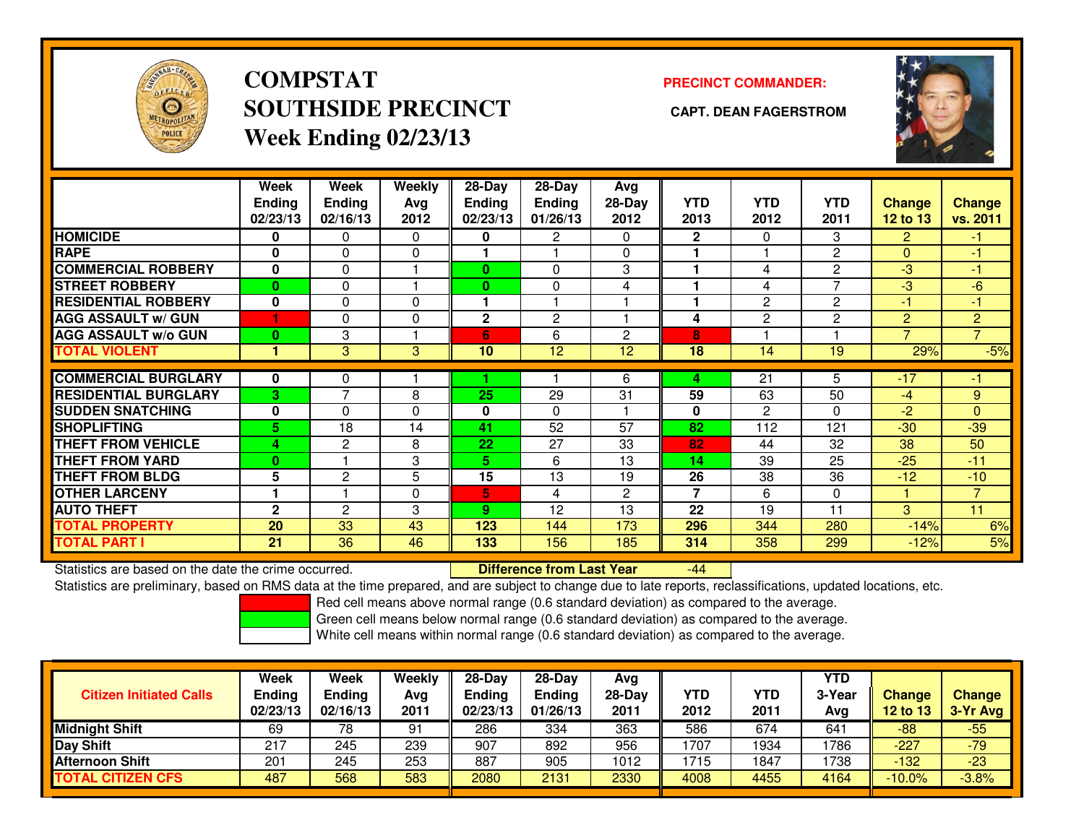

**COMPSTATSOUTHSIDE PRECINCT CAPT. DEAN FAGERSTROMWeek Ending 02/23/13**

### **PRECINCT COMMANDER:**



|                             | Week<br><b>Ending</b><br>02/23/13 | Week<br><b>Ending</b><br>02/16/13 | Weekly<br>Ava<br>2012 | 28-Day<br>Ending<br>02/23/13 | $28 - Day$<br>Ending<br>01/26/13 | Avg<br>28-Day<br>2012 | <b>YTD</b><br>2013       | <b>YTD</b><br>2012 | <b>YTD</b><br>2011 | <b>Change</b><br><b>12 to 13</b> | <b>Change</b><br>vs. 2011 |
|-----------------------------|-----------------------------------|-----------------------------------|-----------------------|------------------------------|----------------------------------|-----------------------|--------------------------|--------------------|--------------------|----------------------------------|---------------------------|
| <b>HOMICIDE</b>             | 0                                 | 0                                 | $\Omega$              | 0                            | $\overline{2}$                   | $\Omega$              | $\mathbf{2}$             | 0                  | 3                  | $\overline{2}$                   | $-1$                      |
| <b>RAPE</b>                 | 0                                 | 0                                 | $\mathbf 0$           |                              |                                  | $\Omega$              |                          |                    | 2                  | $\mathbf{0}$                     | $\blacksquare$            |
| <b>COMMERCIAL ROBBERY</b>   | $\bf{0}$                          | 0                                 |                       | 0                            | $\Omega$                         | 3                     |                          | 4                  | 2                  | -3                               | $-1$                      |
| <b>STREET ROBBERY</b>       | $\bf{0}$                          | 0                                 |                       | 0                            | $\Omega$                         | 4                     |                          | 4                  | 7                  | -3                               | $-6$                      |
| <b>RESIDENTIAL ROBBERY</b>  | 0                                 | 0                                 | $\Omega$              |                              |                                  |                       |                          | 2                  | 2                  | -1                               | -1                        |
| <b>AGG ASSAULT w/ GUN</b>   | и                                 | 0                                 | $\Omega$              | $\overline{2}$               | $\overline{c}$                   |                       | 4                        | 2                  | 2                  | 2                                | $\overline{2}$            |
| <b>AGG ASSAULT w/o GUN</b>  | 0                                 | 3                                 |                       | 6                            | 6                                | 2                     | 8                        |                    |                    | $\overline{7}$                   | $\overline{7}$            |
| <b>TOTAL VIOLENT</b>        | 1                                 | 3                                 | 3                     | 10                           | 12                               | 12                    | 18                       | 14                 | 19                 | 29%                              | $-5%$                     |
|                             |                                   |                                   |                       |                              |                                  |                       |                          |                    |                    |                                  |                           |
| <b>COMMERCIAL BURGLARY</b>  | 0                                 | 0                                 |                       |                              |                                  | 6                     | 4                        | 21                 | 5                  | $-17$                            | -1                        |
| <b>RESIDENTIAL BURGLARY</b> | 3                                 | 7                                 | 8                     | 25                           | 29                               | 31                    | 59                       | 63                 | 50                 | $-4$                             | 9                         |
| <b>SUDDEN SNATCHING</b>     | $\bf{0}$                          | 0                                 | $\Omega$              | 0                            | $\Omega$                         |                       | 0                        | 2                  | 0                  | -2                               | $\Omega$                  |
| <b>SHOPLIFTING</b>          | 5.                                | 18                                | 14                    | 41                           | 52                               | 57                    | 82                       | 112                | 121                | $-30$                            | $-39$                     |
| <b>THEFT FROM VEHICLE</b>   | 4                                 | $\mathbf{2}$                      | 8                     | 22                           | 27                               | 33                    | 82                       | 44                 | 32                 | 38                               | 50                        |
| <b>THEFT FROM YARD</b>      | 0                                 |                                   | 3                     | 5.                           | 6                                | 13                    | 14                       | 39                 | 25                 | $-25$                            | $-11$                     |
| <b>THEFT FROM BLDG</b>      | 5                                 | $\overline{2}$                    | 5                     | 15                           | 13                               | 19                    | 26                       | 38                 | 36                 | $-12$                            | $-10$                     |
| <b>OTHER LARCENY</b>        |                                   |                                   | $\mathbf 0$           | 5                            | 4                                | 2                     | $\overline{\phantom{a}}$ | 6                  | 0                  |                                  | $\overline{7}$            |
| <b>AUTO THEFT</b>           | $\mathbf{2}$                      | $\overline{2}$                    | 3                     | 9                            | 12                               | 13                    | 22                       | 19                 | 11                 | 3                                | 11                        |
| <b>TOTAL PROPERTY</b>       | 20                                | 33                                | 43                    | 123                          | 144                              | 173                   | 296                      | 344                | 280                | $-14%$                           | 6%                        |
| <b>TOTAL PART I</b>         | 21                                | 36                                | 46                    | 133                          | 156                              | 185                   | 314                      | 358                | 299                | $-12%$                           | 5%                        |

Statistics are based on the date the crime occurred. **Difference from Last Year** 

-44

Statistics are preliminary, based on RMS data at the time prepared, and are subject to change due to late reports, reclassifications, updated locations, etc.

Red cell means above normal range (0.6 standard deviation) as compared to the average.

Green cell means below normal range (0.6 standard deviation) as compared to the average.

| <b>Citizen Initiated Calls</b> | <b>Week</b><br><b>Ending</b><br>02/23/13 | Week<br><b>Ending</b><br>02/16/13 | Weekly<br>Avg<br>2011 | $28-Day$<br><b>Ending</b><br>02/23/13 | 28-Day<br><b>Ending</b><br>01/26/13 | Ava<br>28-Dav<br>2011 | YTD<br>2012 | YTD<br>2011 | <b>YTD</b><br>3-Year<br>Avg | <b>Change</b><br><b>12 to 13</b> | <b>Change</b><br>3-Yr Avg |
|--------------------------------|------------------------------------------|-----------------------------------|-----------------------|---------------------------------------|-------------------------------------|-----------------------|-------------|-------------|-----------------------------|----------------------------------|---------------------------|
| <b>Midnight Shift</b>          | 69                                       | 78                                | 91                    | 286                                   | 334                                 | 363                   | 586         | 674         | 641                         | $-88$                            | $-55$                     |
| Day Shift                      | 217                                      | 245                               | 239                   | 907                                   | 892                                 | 956                   | 1707        | 1934        | 1786                        | $-227$                           | $-79$                     |
| <b>Afternoon Shift</b>         | 201                                      | 245                               | 253                   | 887                                   | 905                                 | 1012                  | 1715        | 1847        | 1738                        | $-132$                           | $-23$                     |
| <b>TOTAL CITIZEN CFS</b>       | 487                                      | 568                               | 583                   | 2080                                  | 2131                                | 2330                  | 4008        | 4455        | 4164                        | $-10.0\%$                        | $-3.8%$                   |
|                                |                                          |                                   |                       |                                       |                                     |                       |             |             |                             |                                  |                           |